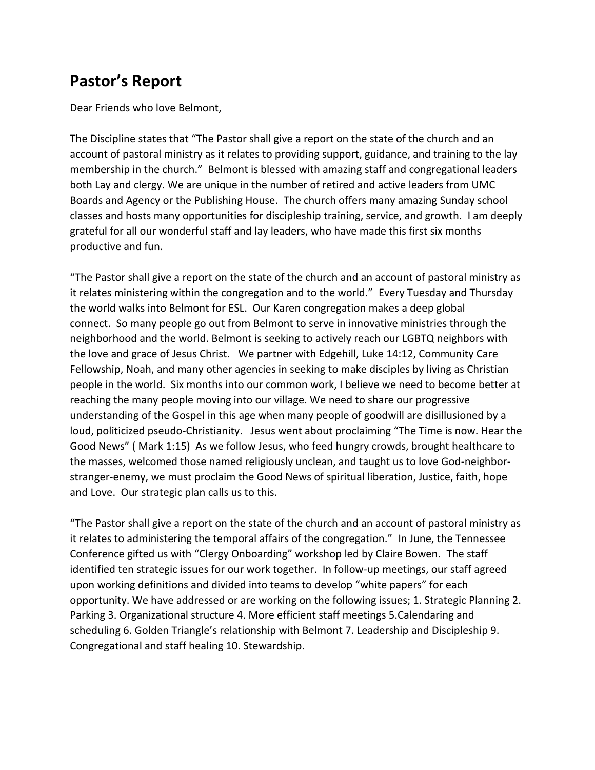# **Pastor's Report**

Dear Friends who love Belmont,

The Discipline states that "The Pastor shall give a report on the state of the church and an account of pastoral ministry as it relates to providing support, guidance, and training to the lay membership in the church." Belmont is blessed with amazing staff and congregational leaders both Lay and clergy. We are unique in the number of retired and active leaders from UMC Boards and Agency or the Publishing House. The church offers many amazing Sunday school classes and hosts many opportunities for discipleship training, service, and growth. I am deeply grateful for all our wonderful staff and lay leaders, who have made this first six months productive and fun.

"The Pastor shall give a report on the state of the church and an account of pastoral ministry as it relates ministering within the congregation and to the world." Every Tuesday and Thursday the world walks into Belmont for ESL. Our Karen congregation makes a deep global connect. So many people go out from Belmont to serve in innovative ministries through the neighborhood and the world. Belmont is seeking to actively reach our LGBTQ neighbors with the love and grace of Jesus Christ. We partner with Edgehill, Luke 14:12, Community Care Fellowship, Noah, and many other agencies in seeking to make disciples by living as Christian people in the world. Six months into our common work, I believe we need to become better at reaching the many people moving into our village. We need to share our progressive understanding of the Gospel in this age when many people of goodwill are disillusioned by a loud, politicized pseudo-Christianity. Jesus went about proclaiming "The Time is now. Hear the Good News" ( Mark 1:15) As we follow Jesus, who feed hungry crowds, brought healthcare to the masses, welcomed those named religiously unclean, and taught us to love God-neighborstranger-enemy, we must proclaim the Good News of spiritual liberation, Justice, faith, hope and Love. Our strategic plan calls us to this.

"The Pastor shall give a report on the state of the church and an account of pastoral ministry as it relates to administering the temporal affairs of the congregation." In June, the Tennessee Conference gifted us with "Clergy Onboarding" workshop led by Claire Bowen. The staff identified ten strategic issues for our work together. In follow-up meetings, our staff agreed upon working definitions and divided into teams to develop "white papers" for each opportunity. We have addressed or are working on the following issues; 1. Strategic Planning 2. Parking 3. Organizational structure 4. More efficient staff meetings 5.Calendaring and scheduling 6. Golden Triangle's relationship with Belmont 7. Leadership and Discipleship 9. Congregational and staff healing 10. Stewardship.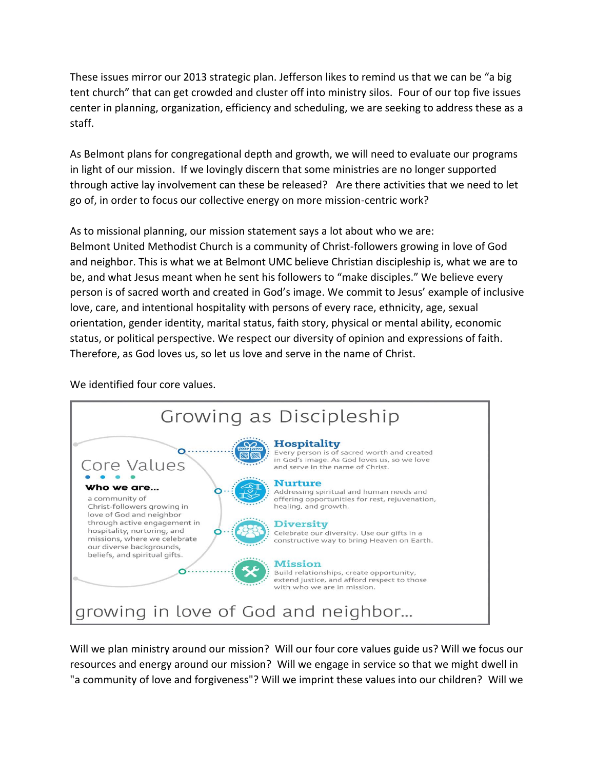These issues mirror our 2013 strategic plan. Jefferson likes to remind us that we can be "a big tent church" that can get crowded and cluster off into ministry silos. Four of our top five issues center in planning, organization, efficiency and scheduling, we are seeking to address these as a staff.

As Belmont plans for congregational depth and growth, we will need to evaluate our programs in light of our mission. If we lovingly discern that some ministries are no longer supported through active lay involvement can these be released? Are there activities that we need to let go of, in order to focus our collective energy on more mission-centric work?

As to missional planning, our mission statement says a lot about who we are: Belmont United Methodist Church is a community of Christ-followers growing in love of God and neighbor. This is what we at Belmont UMC believe Christian discipleship is, what we are to be, and what Jesus meant when he sent his followers to "make disciples." We believe every person is of sacred worth and created in God's image. We commit to Jesus' example of inclusive love, care, and intentional hospitality with persons of every race, ethnicity, age, sexual orientation, gender identity, marital status, faith story, physical or mental ability, economic status, or political perspective. We respect our diversity of opinion and expressions of faith. Therefore, as God loves us, so let us love and serve in the name of Christ.

We identified four core values.



Will we plan ministry around our mission? Will our four core values guide us? Will we focus our resources and energy around our mission? Will we engage in service so that we might dwell in "a community of love and forgiveness"? Will we imprint these values into our children? Will we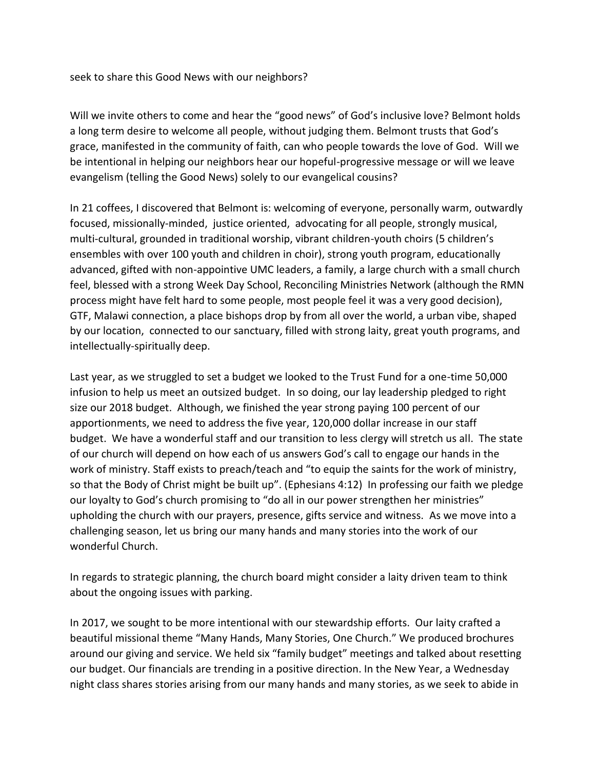seek to share this Good News with our neighbors?

Will we invite others to come and hear the "good news" of God's inclusive love? Belmont holds a long term desire to welcome all people, without judging them. Belmont trusts that God's grace, manifested in the community of faith, can who people towards the love of God. Will we be intentional in helping our neighbors hear our hopeful-progressive message or will we leave evangelism (telling the Good News) solely to our evangelical cousins?

In 21 coffees, I discovered that Belmont is: welcoming of everyone, personally warm, outwardly focused, missionally-minded, justice oriented, advocating for all people, strongly musical, multi-cultural, grounded in traditional worship, vibrant children-youth choirs (5 children's ensembles with over 100 youth and children in choir), strong youth program, educationally advanced, gifted with non-appointive UMC leaders, a family, a large church with a small church feel, blessed with a strong Week Day School, Reconciling Ministries Network (although the RMN process might have felt hard to some people, most people feel it was a very good decision), GTF, Malawi connection, a place bishops drop by from all over the world, a urban vibe, shaped by our location, connected to our sanctuary, filled with strong laity, great youth programs, and intellectually-spiritually deep.

Last year, as we struggled to set a budget we looked to the Trust Fund for a one-time 50,000 infusion to help us meet an outsized budget. In so doing, our lay leadership pledged to right size our 2018 budget. Although, we finished the year strong paying 100 percent of our apportionments, we need to address the five year, 120,000 dollar increase in our staff budget. We have a wonderful staff and our transition to less clergy will stretch us all. The state of our church will depend on how each of us answers God's call to engage our hands in the work of ministry. Staff exists to preach/teach and "to equip the saints for the work of ministry, so that the Body of Christ might be built up". (Ephesians 4:12) In professing our faith we pledge our loyalty to God's church promising to "do all in our power strengthen her ministries" upholding the church with our prayers, presence, gifts service and witness. As we move into a challenging season, let us bring our many hands and many stories into the work of our wonderful Church.

In regards to strategic planning, the church board might consider a laity driven team to think about the ongoing issues with parking.

In 2017, we sought to be more intentional with our stewardship efforts. Our laity crafted a beautiful missional theme "Many Hands, Many Stories, One Church." We produced brochures around our giving and service. We held six "family budget" meetings and talked about resetting our budget. Our financials are trending in a positive direction. In the New Year, a Wednesday night class shares stories arising from our many hands and many stories, as we seek to abide in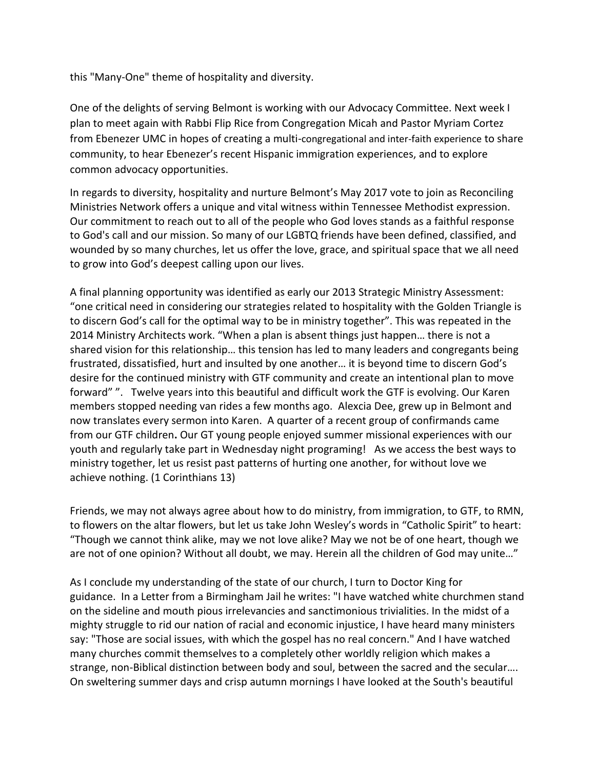this "Many-One" theme of hospitality and diversity.

One of the delights of serving Belmont is working with our Advocacy Committee. Next week I plan to meet again with Rabbi Flip Rice from Congregation Micah and Pastor Myriam Cortez from Ebenezer UMC in hopes of creating a multi-congregational and inter-faith experience to share community, to hear Ebenezer's recent Hispanic immigration experiences, and to explore common advocacy opportunities.

In regards to diversity, hospitality and nurture Belmont's May 2017 vote to join as Reconciling Ministries Network offers a unique and vital witness within Tennessee Methodist expression. Our commitment to reach out to all of the people who God loves stands as a faithful response to God's call and our mission. So many of our LGBTQ friends have been defined, classified, and wounded by so many churches, let us offer the love, grace, and spiritual space that we all need to grow into God's deepest calling upon our lives.

A final planning opportunity was identified as early our 2013 Strategic Ministry Assessment: "one critical need in considering our strategies related to hospitality with the Golden Triangle is to discern God's call for the optimal way to be in ministry together". This was repeated in the 2014 Ministry Architects work. "When a plan is absent things just happen… there is not a shared vision for this relationship… this tension has led to many leaders and congregants being frustrated, dissatisfied, hurt and insulted by one another… it is beyond time to discern God's desire for the continued ministry with GTF community and create an intentional plan to move forward" ". Twelve years into this beautiful and difficult work the GTF is evolving. Our Karen members stopped needing van rides a few months ago. Alexcia Dee, grew up in Belmont and now translates every sermon into Karen. A quarter of a recent group of confirmands came from our GTF children**.** Our GT young people enjoyed summer missional experiences with our youth and regularly take part in Wednesday night programing! As we access the best ways to ministry together, let us resist past patterns of hurting one another, for without love we achieve nothing. (1 Corinthians 13)

Friends, we may not always agree about how to do ministry, from immigration, to GTF, to RMN, to flowers on the altar flowers, but let us take John Wesley's words in "Catholic Spirit" to heart: "Though we cannot think alike, may we not love alike? May we not be of one heart, though we are not of one opinion? Without all doubt, we may. Herein all the children of God may unite…"

As I conclude my understanding of the state of our church, I turn to Doctor King for guidance. In a Letter from a Birmingham Jail he writes: "I have watched white churchmen stand on the sideline and mouth pious irrelevancies and sanctimonious trivialities. In the midst of a mighty struggle to rid our nation of racial and economic injustice, I have heard many ministers say: "Those are social issues, with which the gospel has no real concern." And I have watched many churches commit themselves to a completely other worldly religion which makes a strange, non-Biblical distinction between body and soul, between the sacred and the secular…. On sweltering summer days and crisp autumn mornings I have looked at the South's beautiful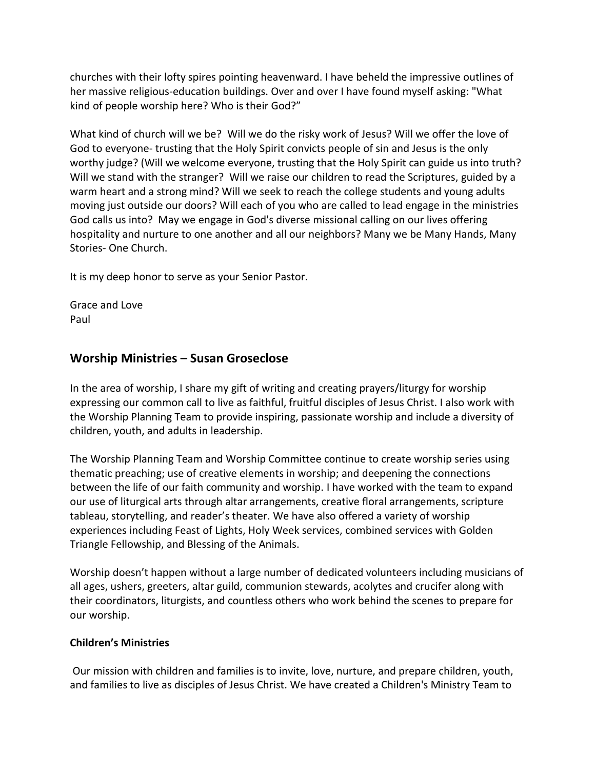churches with their lofty spires pointing heavenward. I have beheld the impressive outlines of her massive religious-education buildings. Over and over I have found myself asking: "What kind of people worship here? Who is their God?"

What kind of church will we be? Will we do the risky work of Jesus? Will we offer the love of God to everyone- trusting that the Holy Spirit convicts people of sin and Jesus is the only worthy judge? (Will we welcome everyone, trusting that the Holy Spirit can guide us into truth? Will we stand with the stranger? Will we raise our children to read the Scriptures, guided by a warm heart and a strong mind? Will we seek to reach the college students and young adults moving just outside our doors? Will each of you who are called to lead engage in the ministries God calls us into? May we engage in God's diverse missional calling on our lives offering hospitality and nurture to one another and all our neighbors? Many we be Many Hands, Many Stories- One Church.

It is my deep honor to serve as your Senior Pastor.

Grace and Love Paul

# **Worship Ministries – Susan Groseclose**

In the area of worship, I share my gift of writing and creating prayers/liturgy for worship expressing our common call to live as faithful, fruitful disciples of Jesus Christ. I also work with the Worship Planning Team to provide inspiring, passionate worship and include a diversity of children, youth, and adults in leadership.

The Worship Planning Team and Worship Committee continue to create worship series using thematic preaching; use of creative elements in worship; and deepening the connections between the life of our faith community and worship. I have worked with the team to expand our use of liturgical arts through altar arrangements, creative floral arrangements, scripture tableau, storytelling, and reader's theater. We have also offered a variety of worship experiences including Feast of Lights, Holy Week services, combined services with Golden Triangle Fellowship, and Blessing of the Animals.

Worship doesn't happen without a large number of dedicated volunteers including musicians of all ages, ushers, greeters, altar guild, communion stewards, acolytes and crucifer along with their coordinators, liturgists, and countless others who work behind the scenes to prepare for our worship.

#### **Children's Ministries**

Our mission with children and families is to invite, love, nurture, and prepare children, youth, and families to live as disciples of Jesus Christ. We have created a Children's Ministry Team to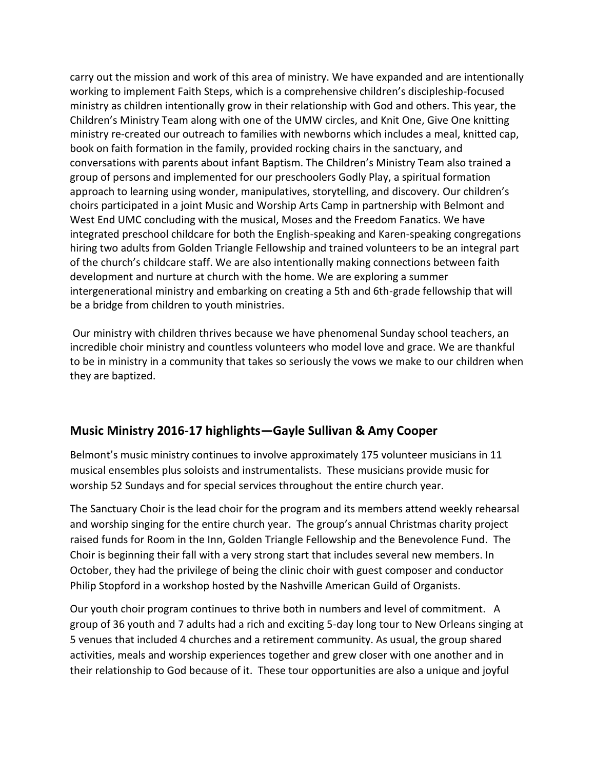carry out the mission and work of this area of ministry. We have expanded and are intentionally working to implement Faith Steps, which is a comprehensive children's discipleship-focused ministry as children intentionally grow in their relationship with God and others. This year, the Children's Ministry Team along with one of the UMW circles, and Knit One, Give One knitting ministry re-created our outreach to families with newborns which includes a meal, knitted cap, book on faith formation in the family, provided rocking chairs in the sanctuary, and conversations with parents about infant Baptism. The Children's Ministry Team also trained a group of persons and implemented for our preschoolers Godly Play, a spiritual formation approach to learning using wonder, manipulatives, storytelling, and discovery. Our children's choirs participated in a joint Music and Worship Arts Camp in partnership with Belmont and West End UMC concluding with the musical, Moses and the Freedom Fanatics. We have integrated preschool childcare for both the English-speaking and Karen-speaking congregations hiring two adults from Golden Triangle Fellowship and trained volunteers to be an integral part of the church's childcare staff. We are also intentionally making connections between faith development and nurture at church with the home. We are exploring a summer intergenerational ministry and embarking on creating a 5th and 6th-grade fellowship that will be a bridge from children to youth ministries.

Our ministry with children thrives because we have phenomenal Sunday school teachers, an incredible choir ministry and countless volunteers who model love and grace. We are thankful to be in ministry in a community that takes so seriously the vows we make to our children when they are baptized.

# **Music Ministry 2016-17 highlights—Gayle Sullivan & Amy Cooper**

Belmont's music ministry continues to involve approximately 175 volunteer musicians in 11 musical ensembles plus soloists and instrumentalists. These musicians provide music for worship 52 Sundays and for special services throughout the entire church year.

The Sanctuary Choir is the lead choir for the program and its members attend weekly rehearsal and worship singing for the entire church year. The group's annual Christmas charity project raised funds for Room in the Inn, Golden Triangle Fellowship and the Benevolence Fund. The Choir is beginning their fall with a very strong start that includes several new members. In October, they had the privilege of being the clinic choir with guest composer and conductor Philip Stopford in a workshop hosted by the Nashville American Guild of Organists.

Our youth choir program continues to thrive both in numbers and level of commitment. A group of 36 youth and 7 adults had a rich and exciting 5-day long tour to New Orleans singing at 5 venues that included 4 churches and a retirement community. As usual, the group shared activities, meals and worship experiences together and grew closer with one another and in their relationship to God because of it. These tour opportunities are also a unique and joyful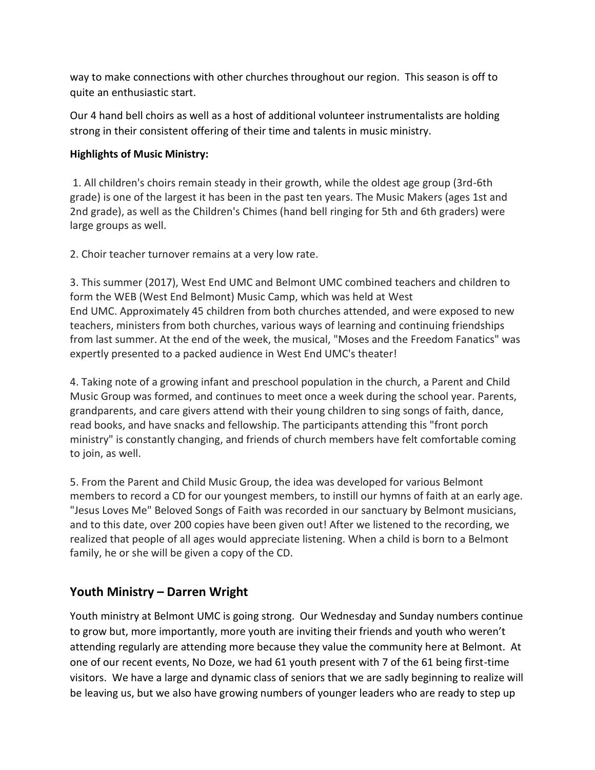way to make connections with other churches throughout our region. This season is off to quite an enthusiastic start.

Our 4 hand bell choirs as well as a host of additional volunteer instrumentalists are holding strong in their consistent offering of their time and talents in music ministry.

#### **Highlights of Music Ministry:**

1. All children's choirs remain steady in their growth, while the oldest age group (3rd-6th grade) is one of the largest it has been in the past ten years. The Music Makers (ages 1st and 2nd grade), as well as the Children's Chimes (hand bell ringing for 5th and 6th graders) were large groups as well.

2. Choir teacher turnover remains at a very low rate.

3. This summer (2017), West End UMC and Belmont UMC combined teachers and children to form the WEB (West End Belmont) Music Camp, which was held at West End UMC. Approximately 45 children from both churches attended, and were exposed to new teachers, ministers from both churches, various ways of learning and continuing friendships from last summer. At the end of the week, the musical, "Moses and the Freedom Fanatics" was expertly presented to a packed audience in West End UMC's theater!

4. Taking note of a growing infant and preschool population in the church, a Parent and Child Music Group was formed, and continues to meet once a week during the school year. Parents, grandparents, and care givers attend with their young children to sing songs of faith, dance, read books, and have snacks and fellowship. The participants attending this "front porch ministry" is constantly changing, and friends of church members have felt comfortable coming to join, as well.

5. From the Parent and Child Music Group, the idea was developed for various Belmont members to record a CD for our youngest members, to instill our hymns of faith at an early age. "Jesus Loves Me" Beloved Songs of Faith was recorded in our sanctuary by Belmont musicians, and to this date, over 200 copies have been given out! After we listened to the recording, we realized that people of all ages would appreciate listening. When a child is born to a Belmont family, he or she will be given a copy of the CD.

# **Youth Ministry – Darren Wright**

Youth ministry at Belmont UMC is going strong. Our Wednesday and Sunday numbers continue to grow but, more importantly, more youth are inviting their friends and youth who weren't attending regularly are attending more because they value the community here at Belmont. At one of our recent events, No Doze, we had 61 youth present with 7 of the 61 being first-time visitors. We have a large and dynamic class of seniors that we are sadly beginning to realize will be leaving us, but we also have growing numbers of younger leaders who are ready to step up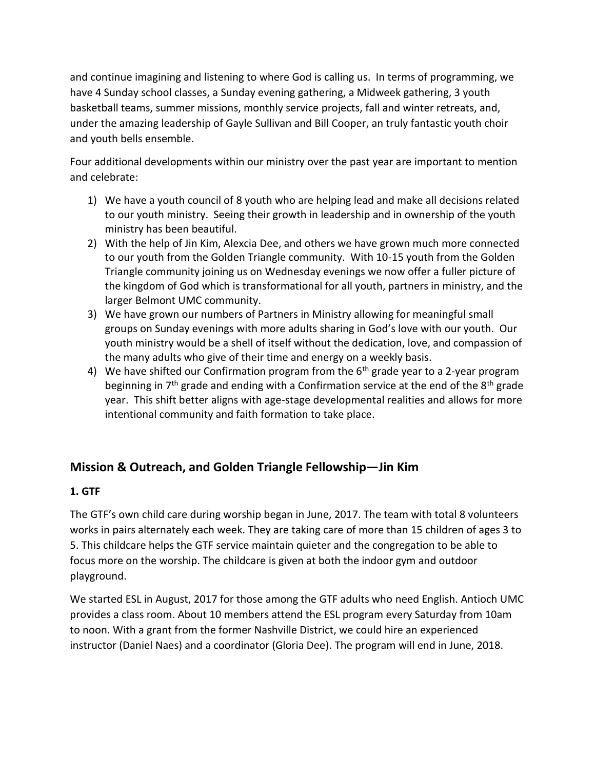and continue imagining and listening to where God is calling us. In terms of programming, we have 4 Sunday school classes, a Sunday evening gathering, a Midweek gathering, 3 youth basketball teams, summer missions, monthly service projects, fall and winter retreats, and, under the amazing leadership of Gayle Sullivan and Bill Cooper, an truly fantastic youth choir and youth bells ensemble.

Four additional developments within our ministry over the past year are important to mention and celebrate:

- 1) We have a youth council of 8 youth who are helping lead and make all decisions related to our youth ministry. Seeing their growth in leadership and in ownership of the youth ministry has been beautiful.
- 2) With the help of Jin Kim, Alexcia Dee, and others we have grown much more connected to our youth from the Golden Triangle community. With 10-15 youth from the Golden Triangle community joining us on Wednesday evenings we now offer a fuller picture of the kingdom of God which is transformational for all youth, partners in ministry, and the larger Belmont UMC community.
- 3) We have grown our numbers of Partners in Ministry allowing for meaningful small groups on Sunday evenings with more adults sharing in God's love with our youth. Our youth ministry would be a shell of itself without the dedication, love, and compassion of the many adults who give of their time and energy on a weekly basis.
- 4) We have shifted our Confirmation program from the  $6<sup>th</sup>$  grade year to a 2-year program beginning in  $7<sup>th</sup>$  grade and ending with a Confirmation service at the end of the  $8<sup>th</sup>$  grade year. This shift better aligns with age-stage developmental realities and allows for more intentional community and faith formation to take place.

# **Mission & Outreach, and Golden Triangle Fellowship—Jin Kim**

#### **1. GTF**

The GTF's own child care during worship began in June, 2017. The team with total 8 volunteers works in pairs alternately each week. They are taking care of more than 15 children of ages 3 to 5. This childcare helps the GTF service maintain quieter and the congregation to be able to focus more on the worship. The childcare is given at both the indoor gym and outdoor playground.

We started ESL in August, 2017 for those among the GTF adults who need English. Antioch UMC provides a class room. About 10 members attend the ESL program every Saturday from 10am to noon. With a grant from the former Nashville District, we could hire an experienced instructor (Daniel Naes) and a coordinator (Gloria Dee). The program will end in June, 2018.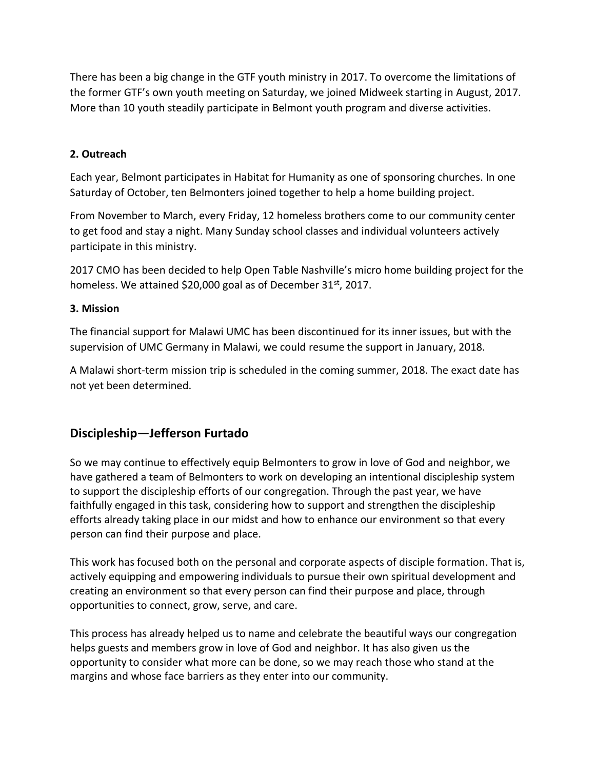There has been a big change in the GTF youth ministry in 2017. To overcome the limitations of the former GTF's own youth meeting on Saturday, we joined Midweek starting in August, 2017. More than 10 youth steadily participate in Belmont youth program and diverse activities.

#### **2. Outreach**

Each year, Belmont participates in Habitat for Humanity as one of sponsoring churches. In one Saturday of October, ten Belmonters joined together to help a home building project.

From November to March, every Friday, 12 homeless brothers come to our community center to get food and stay a night. Many Sunday school classes and individual volunteers actively participate in this ministry.

2017 CMO has been decided to help Open Table Nashville's micro home building project for the homeless. We attained \$20,000 goal as of December 31<sup>st</sup>, 2017.

#### **3. Mission**

The financial support for Malawi UMC has been discontinued for its inner issues, but with the supervision of UMC Germany in Malawi, we could resume the support in January, 2018.

A Malawi short-term mission trip is scheduled in the coming summer, 2018. The exact date has not yet been determined.

# **Discipleship—Jefferson Furtado**

So we may continue to effectively equip Belmonters to grow in love of God and neighbor, we have gathered a team of Belmonters to work on developing an intentional discipleship system to support the discipleship efforts of our congregation. Through the past year, we have faithfully engaged in this task, considering how to support and strengthen the discipleship efforts already taking place in our midst and how to enhance our environment so that every person can find their purpose and place.

This work has focused both on the personal and corporate aspects of disciple formation. That is, actively equipping and empowering individuals to pursue their own spiritual development and creating an environment so that every person can find their purpose and place, through opportunities to connect, grow, serve, and care.

This process has already helped us to name and celebrate the beautiful ways our congregation helps guests and members grow in love of God and neighbor. It has also given us the opportunity to consider what more can be done, so we may reach those who stand at the margins and whose face barriers as they enter into our community.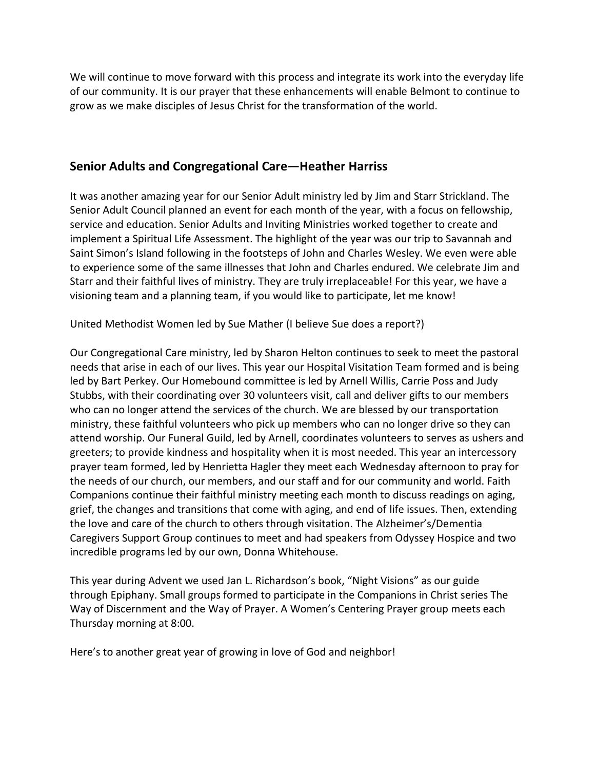We will continue to move forward with this process and integrate its work into the everyday life of our community. It is our prayer that these enhancements will enable Belmont to continue to grow as we make disciples of Jesus Christ for the transformation of the world.

# **Senior Adults and Congregational Care—Heather Harriss**

It was another amazing year for our Senior Adult ministry led by Jim and Starr Strickland. The Senior Adult Council planned an event for each month of the year, with a focus on fellowship, service and education. Senior Adults and Inviting Ministries worked together to create and implement a Spiritual Life Assessment. The highlight of the year was our trip to Savannah and Saint Simon's Island following in the footsteps of John and Charles Wesley. We even were able to experience some of the same illnesses that John and Charles endured. We celebrate Jim and Starr and their faithful lives of ministry. They are truly irreplaceable! For this year, we have a visioning team and a planning team, if you would like to participate, let me know!

United Methodist Women led by Sue Mather (I believe Sue does a report?)

Our Congregational Care ministry, led by Sharon Helton continues to seek to meet the pastoral needs that arise in each of our lives. This year our Hospital Visitation Team formed and is being led by Bart Perkey. Our Homebound committee is led by Arnell Willis, Carrie Poss and Judy Stubbs, with their coordinating over 30 volunteers visit, call and deliver gifts to our members who can no longer attend the services of the church. We are blessed by our transportation ministry, these faithful volunteers who pick up members who can no longer drive so they can attend worship. Our Funeral Guild, led by Arnell, coordinates volunteers to serves as ushers and greeters; to provide kindness and hospitality when it is most needed. This year an intercessory prayer team formed, led by Henrietta Hagler they meet each Wednesday afternoon to pray for the needs of our church, our members, and our staff and for our community and world. Faith Companions continue their faithful ministry meeting each month to discuss readings on aging, grief, the changes and transitions that come with aging, and end of life issues. Then, extending the love and care of the church to others through visitation. The Alzheimer's/Dementia Caregivers Support Group continues to meet and had speakers from Odyssey Hospice and two incredible programs led by our own, Donna Whitehouse.

This year during Advent we used Jan L. Richardson's book, "Night Visions" as our guide through Epiphany. Small groups formed to participate in the Companions in Christ series The Way of Discernment and the Way of Prayer. A Women's Centering Prayer group meets each Thursday morning at 8:00.

Here's to another great year of growing in love of God and neighbor!